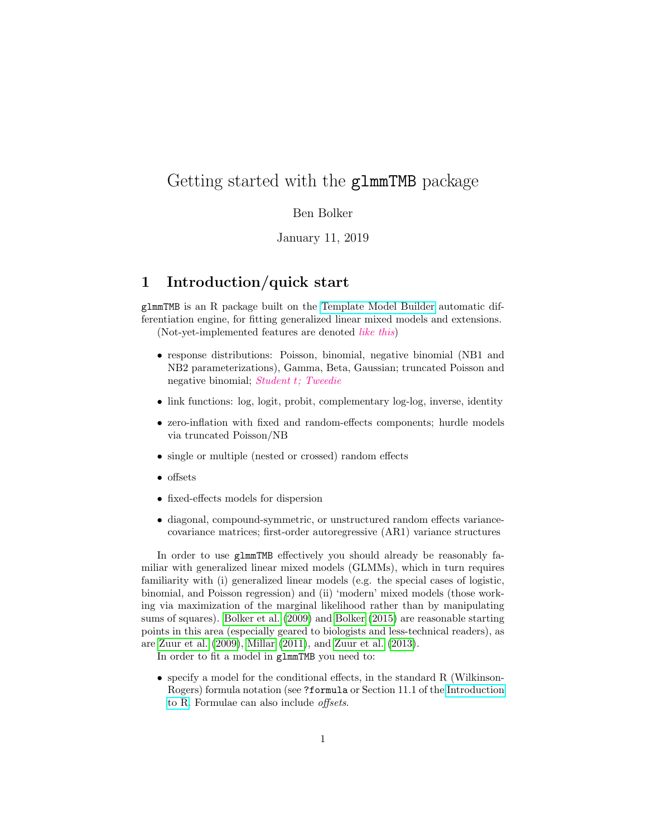# Getting started with the glmmTMB package

#### Ben Bolker

#### January 11, 2019

## 1 Introduction/quick start

glmmTMB is an R package built on the [Template Model Builder](https://github.com/kaskr/adcomp) automatic differentiation engine, for fitting generalized linear mixed models and extensions. (Not-yet-implemented features are denoted like this)

- response distributions: Poisson, binomial, negative binomial (NB1 and NB2 parameterizations), Gamma, Beta, Gaussian; truncated Poisson and negative binomial; Student t; Tweedie
- link functions: log, logit, probit, complementary log-log, inverse, identity
- zero-inflation with fixed and random-effects components; hurdle models via truncated Poisson/NB
- single or multiple (nested or crossed) random effects
- offsets
- fixed-effects models for dispersion
- diagonal, compound-symmetric, or unstructured random effects variancecovariance matrices; first-order autoregressive (AR1) variance structures

In order to use glmmTMB effectively you should already be reasonably familiar with generalized linear mixed models (GLMMs), which in turn requires familiarity with (i) generalized linear models (e.g. the special cases of logistic, binomial, and Poisson regression) and (ii) 'modern' mixed models (those working via maximization of the marginal likelihood rather than by manipulating sums of squares). [Bolker et al.](#page-8-0) [\(2009\)](#page-8-0) and [Bolker](#page-5-0) [\(2015\)](#page-5-0) are reasonable starting points in this area (especially geared to biologists and less-technical readers), as are [Zuur et al.](#page-8-1) [\(2009\)](#page-8-1), [Millar](#page-8-2) [\(2011\)](#page-8-2), and [Zuur et al.](#page-8-3) [\(2013\)](#page-8-3).

In order to fit a model in glmmTMB you need to:

• specify a model for the conditional effects, in the standard R (Wilkinson-Rogers) formula notation (see ?formula or Section 11.1 of the [Introduction](http://cran.r-project.org/doc/manuals/R-intro.pdf) [to R.](http://cran.r-project.org/doc/manuals/R-intro.pdf) Formulae can also include offsets.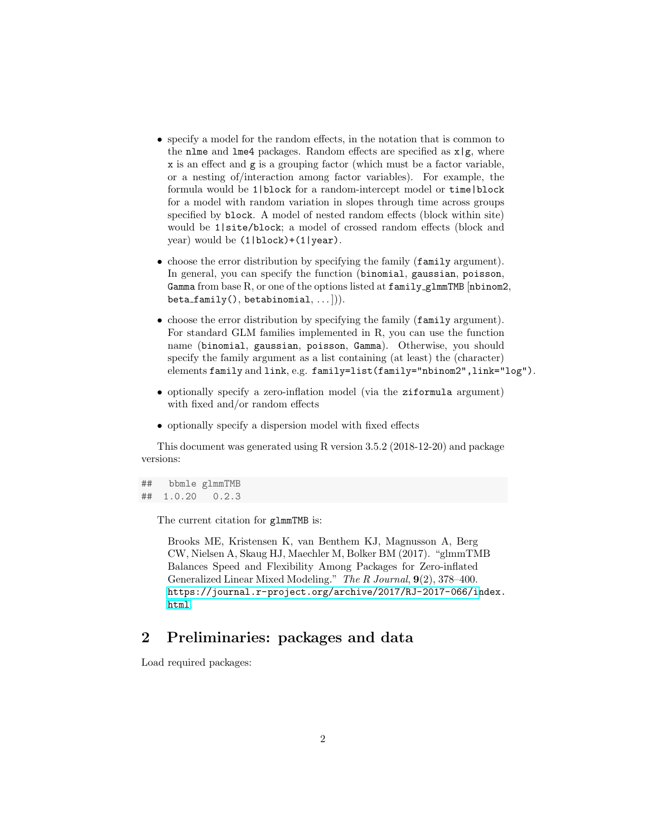- specify a model for the random effects, in the notation that is common to the nlme and lme4 packages. Random effects are specified as  $x|g$ , where x is an effect and g is a grouping factor (which must be a factor variable, or a nesting of/interaction among factor variables). For example, the formula would be 1|block for a random-intercept model or time|block for a model with random variation in slopes through time across groups specified by block. A model of nested random effects (block within site) would be 1|site/block; a model of crossed random effects (block and year) would be (1|block)+(1|year).
- choose the error distribution by specifying the family (family argument). In general, you can specify the function (binomial, gaussian, poisson, Gamma from base R, or one of the options listed at  $\texttt{family\_glmmTMB}$  [nbinom2,  $beta_family(), betabinomial, ...)).$
- choose the error distribution by specifying the family (family argument). For standard GLM families implemented in R, you can use the function name (binomial, gaussian, poisson, Gamma). Otherwise, you should specify the family argument as a list containing (at least) the (character) elements family and link, e.g. family=list(family="nbinom2",link="log").
- optionally specify a zero-inflation model (via the ziformula argument) with fixed and/or random effects
- optionally specify a dispersion model with fixed effects

This document was generated using R version 3.5.2 (2018-12-20) and package versions:

## bbmle glmmTMB ## 1.0.20 0.2.3

The current citation for glmmTMB is:

Brooks ME, Kristensen K, van Benthem KJ, Magnusson A, Berg CW, Nielsen A, Skaug HJ, Maechler M, Bolker BM (2017). "glmmTMB Balances Speed and Flexibility Among Packages for Zero-inflated Generalized Linear Mixed Modeling." The R Journal, 9(2), 378–400. [https://journal.r-project.org/archive/2017/RJ-2017-066/in](https://journal.r-project.org/archive/2017/RJ-2017-066/index.html)dex. [html](https://journal.r-project.org/archive/2017/RJ-2017-066/index.html).

## 2 Preliminaries: packages and data

Load required packages: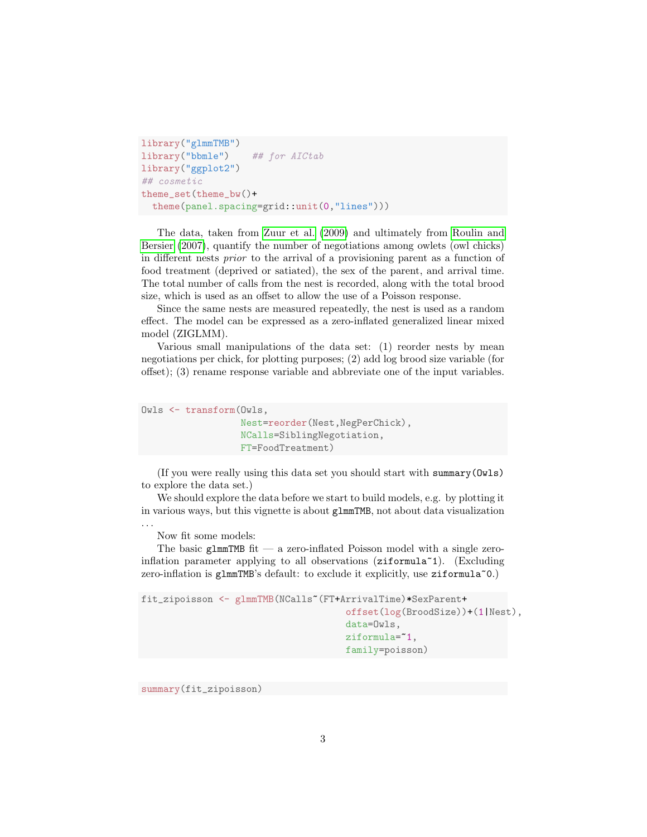```
library("glmmTMB")
library("bbmle") ## for AICtab
library("ggplot2")
## cosmetic
theme_set(theme_bw()+
  theme(panel.spacing=grid::unit(0,"lines")))
```
The data, taken from [Zuur et al.](#page-8-1) [\(2009\)](#page-8-1) and ultimately from [Roulin and](#page-8-4) [Bersier](#page-8-4) [\(2007\)](#page-8-4), quantify the number of negotiations among owlets (owl chicks) in different nests prior to the arrival of a provisioning parent as a function of food treatment (deprived or satiated), the sex of the parent, and arrival time. The total number of calls from the nest is recorded, along with the total brood size, which is used as an offset to allow the use of a Poisson response.

Since the same nests are measured repeatedly, the nest is used as a random effect. The model can be expressed as a zero-inflated generalized linear mixed model (ZIGLMM).

Various small manipulations of the data set: (1) reorder nests by mean negotiations per chick, for plotting purposes; (2) add log brood size variable (for offset); (3) rename response variable and abbreviate one of the input variables.

```
Owls <- transform(Owls,
                  Nest=reorder(Nest,NegPerChick),
                  NCalls=SiblingNegotiation,
                  FT=FoodTreatment)
```
(If you were really using this data set you should start with summary(Owls) to explore the data set.)

We should explore the data before we start to build models, e.g. by plotting it in various ways, but this vignette is about glmmTMB, not about data visualization . . .

Now fit some models:

The basic glmmTMB fit — a zero-inflated Poisson model with a single zeroinflation parameter applying to all observations (ziformula~1). (Excluding zero-inflation is glmmTMB's default: to exclude it explicitly, use ziformula<sup>~0</sup>.)

```
fit_zipoisson <- glmmTMB(NCalls~(FT+ArrivalTime)*SexParent+
                                      offset(log(BroodSize))+(1|Nest),
                                      data=Owls,
                                      ziformula=~1,
                                      family=poisson)
```
summary(fit\_zipoisson)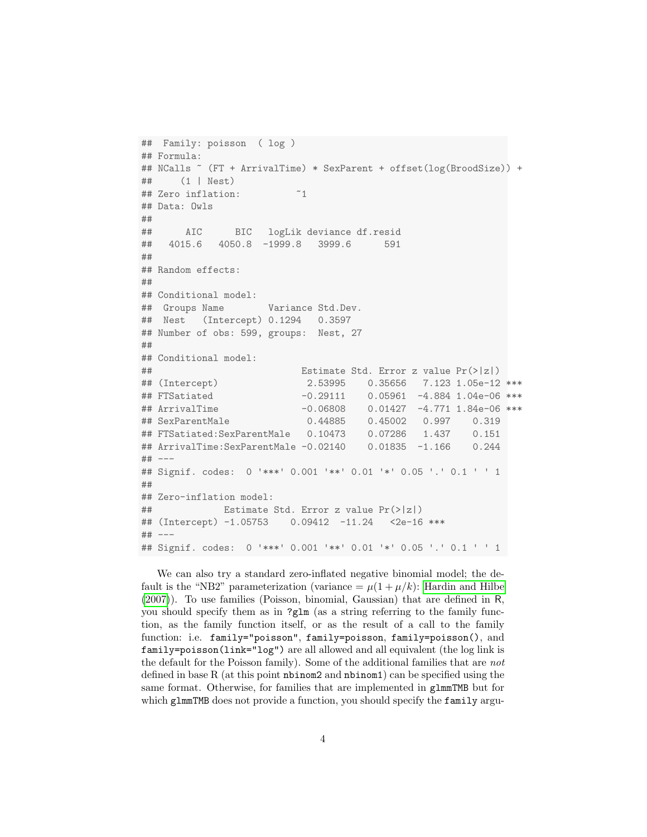```
## Family: poisson ( log )
## Formula:
## NCalls ~ (FT + ArrivalTime) * SexParent + offset(log(BroodSize)) +
## (1 | Nest)
## Zero inflation: ~1
## Data: Owls
##
## AIC BIC logLik deviance df.resid
## 4015.6 4050.8 -1999.8 3999.6 591
##
## Random effects:
##
## Conditional model:
## Groups Name Variance Std.Dev.
## Nest (Intercept) 0.1294 0.3597
## Number of obs: 599, groups: Nest, 27
##
## Conditional model:
## Estimate Std. Error z value Pr(>|z|)
## (Intercept) 2.53995 0.35656 7.123 1.05e-12 ***
## FTSatiated -0.29111 0.05961 -4.884 1.04e-06 ***
## ArrivalTime -0.06808 0.01427 -4.771 1.84e-06 ***
## SexParentMale 0.44885 0.45002 0.997 0.319
## FTSatiated:SexParentMale 0.10473 0.07286 1.437 0.151
## ArrivalTime:SexParentMale -0.02140 0.01835 -1.166 0.244
## ---## Signif. codes: 0 '***' 0.001 '**' 0.01 '*' 0.05 '.' 0.1 ' ' 1
##
## Zero-inflation model:
## Estimate Std. Error z value Pr(>|z|)
## (Intercept) -1.05753 0.09412 -11.24 <2e-16 ***
## ---
## Signif. codes: 0 '***' 0.001 '**' 0.01 '*' 0.05 '.' 0.1 ' ' 1
```
We can also try a standard zero-inflated negative binomial model; the default is the "NB2" parameterization (variance  $= \mu(1 + \mu/k)$ : [Hardin and Hilbe](#page-8-5) [\(2007\)](#page-8-5)). To use families (Poisson, binomial, Gaussian) that are defined in R, you should specify them as in ?glm (as a string referring to the family function, as the family function itself, or as the result of a call to the family function: i.e. family="poisson", family=poisson, family=poisson(), and family=poisson(link="log") are all allowed and all equivalent (the log link is the default for the Poisson family). Some of the additional families that are not defined in base R (at this point nbinom2 and nbinom1) can be specified using the same format. Otherwise, for families that are implemented in glmmTMB but for which glmmTMB does not provide a function, you should specify the family argu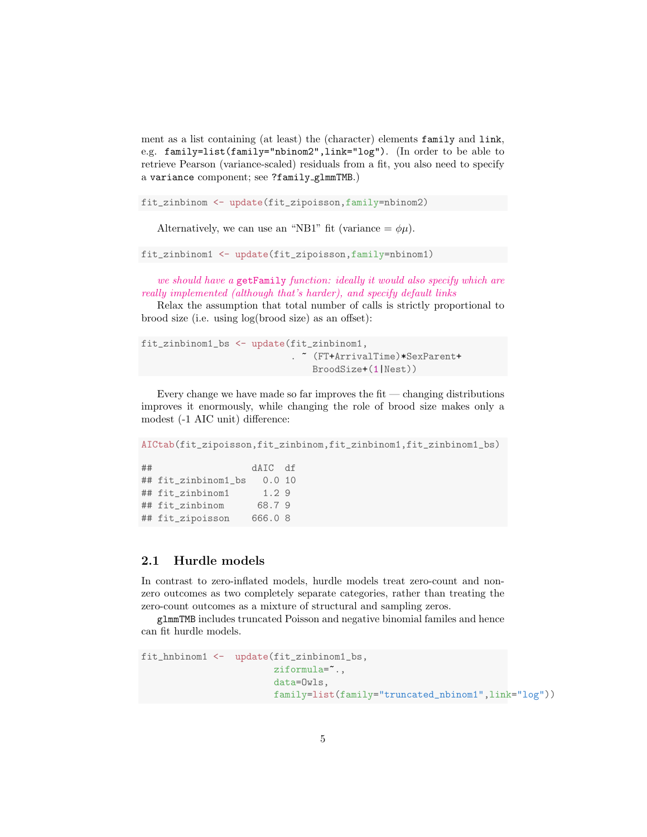ment as a list containing (at least) the (character) elements family and link, e.g. family=list(family="nbinom2",link="log"). (In order to be able to retrieve Pearson (variance-scaled) residuals from a fit, you also need to specify a variance component; see ?family glmmTMB.)

fit\_zinbinom <- update(fit\_zipoisson,family=nbinom2)

Alternatively, we can use an "NB1" fit (variance  $= \phi \mu$ ).

fit\_zinbinom1 <- update(fit\_zipoisson,family=nbinom1)

we should have a getFamily function: ideally it would also specify which are really implemented (although that's harder), and specify default links

Relax the assumption that total number of calls is strictly proportional to brood size (i.e. using log(brood size) as an offset):

```
fit_zinbinom1_bs <- update(fit_zinbinom1,
                            . ~ (FT+ArrivalTime)*SexParent+
                               BroodSize+(1|Nest))
```
Every change we have made so far improves the fit  $-$  changing distributions improves it enormously, while changing the role of brood size makes only a modest (-1 AIC unit) difference:

```
AICtab(fit_zipoisson,fit_zinbinom,fit_zinbinom1,fit_zinbinom1_bs)
## dAIC df
## fit_zinbinom1_bs 0.0 10
## fit_zinbinom1 1.2 9
## fit_zinbinom 68.7 9
## fit_zipoisson 666.0 8
```
#### 2.1 Hurdle models

In contrast to zero-inflated models, hurdle models treat zero-count and nonzero outcomes as two completely separate categories, rather than treating the zero-count outcomes as a mixture of structural and sampling zeros.

glmmTMB includes truncated Poisson and negative binomial familes and hence can fit hurdle models.

```
fit_hnbinom1 <- update(fit_zinbinom1_bs,
                        ziformula=~.,
                        data=Owls,
                        family=list(family="truncated_nbinom1",link="log"))
```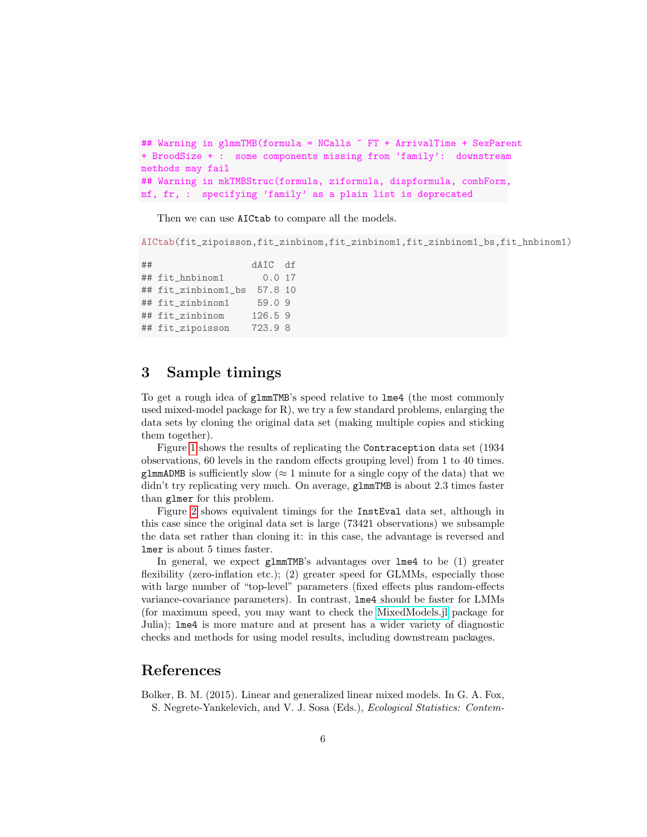```
## Warning in glmmTMB(formula = NCalls ~ FT + ArrivalTime + SexParent
+ BroodSize + : some components missing from 'family': downstream
methods may fail
## Warning in mkTMBStruc(formula, ziformula, dispformula, combForm,
mf, fr, : specifying 'family' as a plain list is deprecated
```
Then we can use AICtab to compare all the models.

AICtab(fit\_zipoisson,fit\_zinbinom,fit\_zinbinom1,fit\_zinbinom1\_bs,fit\_hnbinom1)

## dAIC df ## fit\_hnbinom1 0.0 17 ## fit\_zinbinom1\_bs 57.8 10 ## fit\_zinbinom1 59.0 9 ## fit\_zinbinom 126.5 9 ## fit\_zipoisson 723.9 8

## 3 Sample timings

To get a rough idea of glmmTMB's speed relative to lme4 (the most commonly used mixed-model package for  $R$ ), we try a few standard problems, enlarging the data sets by cloning the original data set (making multiple copies and sticking them together).

Figure [1](#page-6-0) shows the results of replicating the Contraception data set (1934 observations, 60 levels in the random effects grouping level) from 1 to 40 times. glmmADMB is sufficiently slow ( $\approx 1$  minute for a single copy of the data) that we didn't try replicating very much. On average, glmmTMB is about 2.3 times faster than glmer for this problem.

Figure [2](#page-7-0) shows equivalent timings for the InstEval data set, although in this case since the original data set is large (73421 observations) we subsample the data set rather than cloning it: in this case, the advantage is reversed and lmer is about 5 times faster.

In general, we expect glmmTMB's advantages over lme4 to be (1) greater flexibility (zero-inflation etc.); (2) greater speed for GLMMs, especially those with large number of "top-level" parameters (fixed effects plus random-effects variance-covariance parameters). In contrast, lme4 should be faster for LMMs (for maximum speed, you may want to check the [MixedModels.jl](https://github.com/dmbates/MixedModels.jl) package for Julia); lme4 is more mature and at present has a wider variety of diagnostic checks and methods for using model results, including downstream packages.

### References

<span id="page-5-0"></span>Bolker, B. M. (2015). Linear and generalized linear mixed models. In G. A. Fox, S. Negrete-Yankelevich, and V. J. Sosa (Eds.), Ecological Statistics: Contem-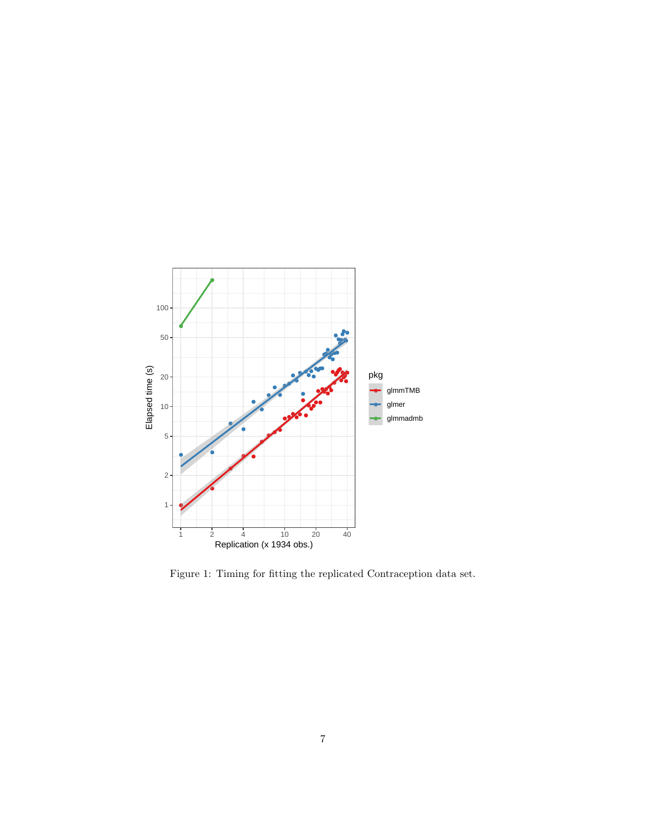

<span id="page-6-0"></span>Figure 1: Timing for fitting the replicated Contraception data set.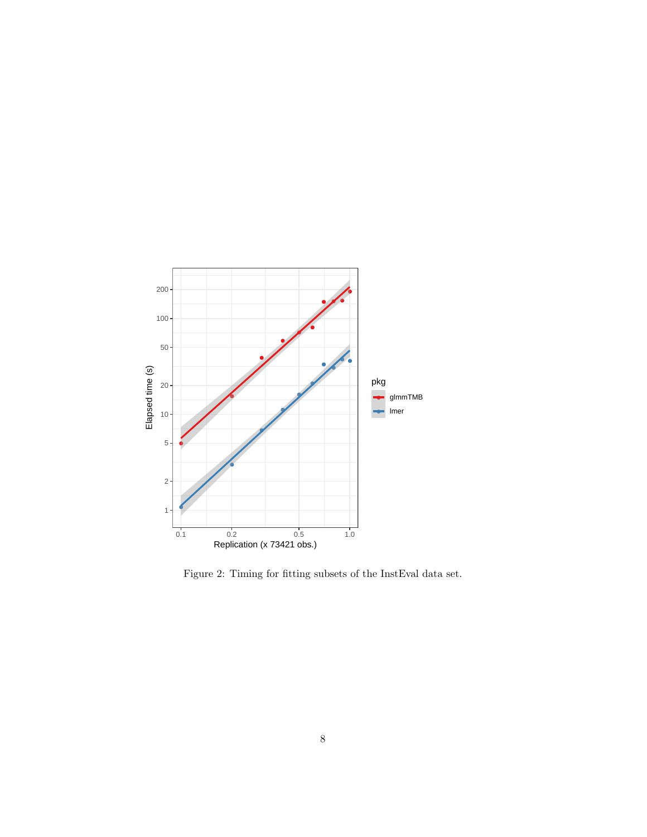

<span id="page-7-0"></span>Figure 2: Timing for fitting subsets of the InstEval data set.